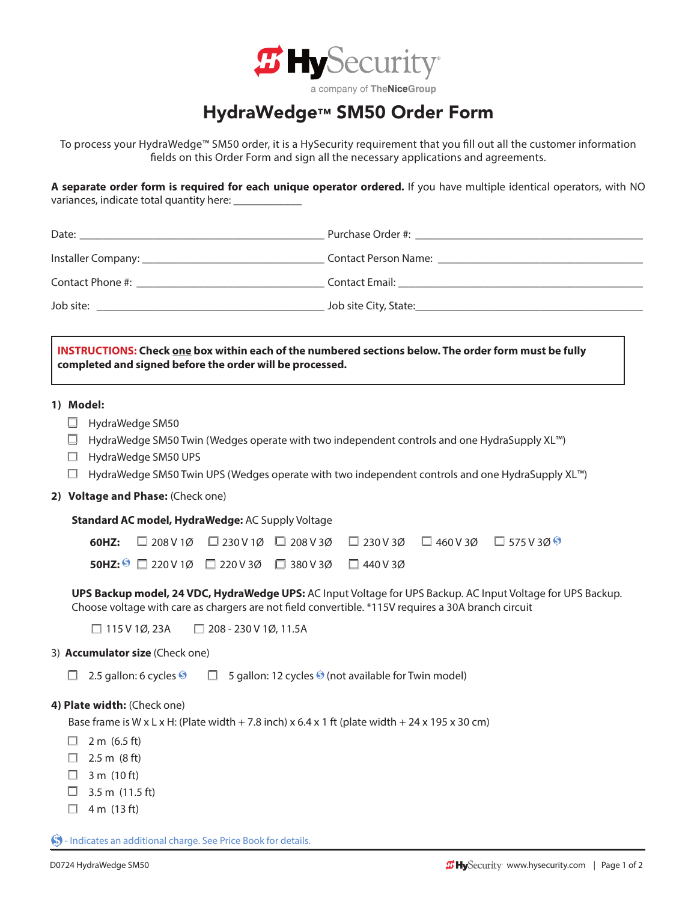

## a company of TheNiceGroup

## HydraWedge™ SM50 Order Form

To process your HydraWedge™ SM50 order, it is a HySecurity requirement that you fill out all the customer information fields on this Order Form and sign all the necessary applications and agreements.

**A separate order form is required for each unique operator ordered.** If you have multiple identical operators, with NO variances, indicate total quantity here:

| INSTRUCTIONS: Check one box within each of the numbered sections below. The order form must be fully<br>completed and signed before the order will be processed.                                                   |                                                                                                                                                                                                |  |
|--------------------------------------------------------------------------------------------------------------------------------------------------------------------------------------------------------------------|------------------------------------------------------------------------------------------------------------------------------------------------------------------------------------------------|--|
| 1) Model:<br>ப<br>HydraWedge SM50<br>HydraWedge SM50 UPS<br>ш<br>□                                                                                                                                                 | HydraWedge SM50 Twin (Wedges operate with two independent controls and one HydraSupply XL™)<br>HydraWedge SM50 Twin UPS (Wedges operate with two independent controls and one HydraSupply XL™) |  |
| 2) Voltage and Phase: (Check one)                                                                                                                                                                                  |                                                                                                                                                                                                |  |
| Standard AC model, HydraWedge: AC Supply Voltage                                                                                                                                                                   |                                                                                                                                                                                                |  |
| $\Box$ 208 V 1Ø $\Box$ 230 V 1Ø $\Box$ 208 V 3Ø<br>60HZ:                                                                                                                                                           | $\Box$ 230 V 3Ø $\Box$ 460 V 3Ø $\Box$ 575 V 3Ø $\odot$                                                                                                                                        |  |
| <b>50HZ:</b> $\bigcirc$ 220V1Ø 220V3Ø 380V3Ø 440V3Ø                                                                                                                                                                |                                                                                                                                                                                                |  |
| UPS Backup model, 24 VDC, HydraWedge UPS: AC Input Voltage for UPS Backup. AC Input Voltage for UPS Backup.<br>Choose voltage with care as chargers are not field convertible. *115V requires a 30A branch circuit |                                                                                                                                                                                                |  |
| $\Box$ 115 V 1Ø, 23A<br>$\Box$ 208 - 230 V 1Ø, 11.5A                                                                                                                                                               |                                                                                                                                                                                                |  |
| 3) Accumulator size (Check one)                                                                                                                                                                                    |                                                                                                                                                                                                |  |
| 2.5 gallon: 6 cycles $\bullet$ $\Box$ 5 gallon: 12 cycles $\bullet$ (not available for Twin model)                                                                                                                 |                                                                                                                                                                                                |  |
| 4) Plate width: (Check one)<br>Base frame is W x L x H: (Plate width + 7.8 inch) x 6.4 x 1 ft (plate width + 24 x 195 x 30 cm)<br>2 m (6.5 ft)<br>2.5 m (8 ft)                                                     |                                                                                                                                                                                                |  |
| 3 m (10 ft)<br>3.5 m (11.5 ft)<br>4 m (13 ft)<br>ш                                                                                                                                                                 |                                                                                                                                                                                                |  |

 $\bigcirc$  - Indicates an additional charge. See Price Book for details.